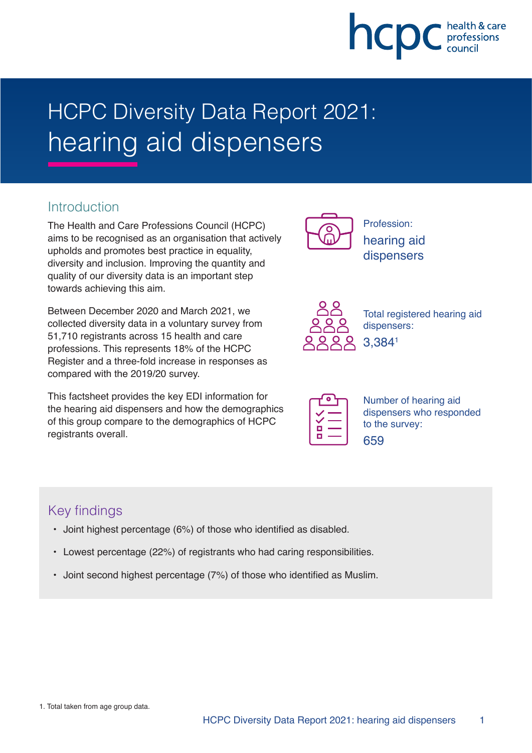# hcpc

# HCPC Diversity Data Report 2021: hearing aid dispensers

### **Introduction**

The Health and Care Professions Council (HCPC) aims to be recognised as an organisation that actively upholds and promotes best practice in equality, diversity and inclusion. Improving the quantity and quality of our diversity data is an important step towards achieving this aim.

Between December 2020 and March 2021, we collected diversity data in a voluntary survey from 51,710 registrants across 15 health and care professions. This represents 18% of the HCPC Register and a three-fold increase in responses as compared with the 2019/20 survey.

This factsheet provides the key EDI information for the hearing aid dispensers and how the demographics of this group compare to the demographics of HCPC registrants overall.



Profession: hearing aid dispensers



Total registered hearing aid dispensers: 3,3841

| O<br>v. |  |
|---------|--|

Number of hearing aid dispensers who responded to the survey: 659

# Key findings

- Joint highest percentage (6%) of those who identified as disabled.
- Lowest percentage (22%) of registrants who had caring responsibilities.
- Joint second highest percentage (7%) of those who identified as Muslim.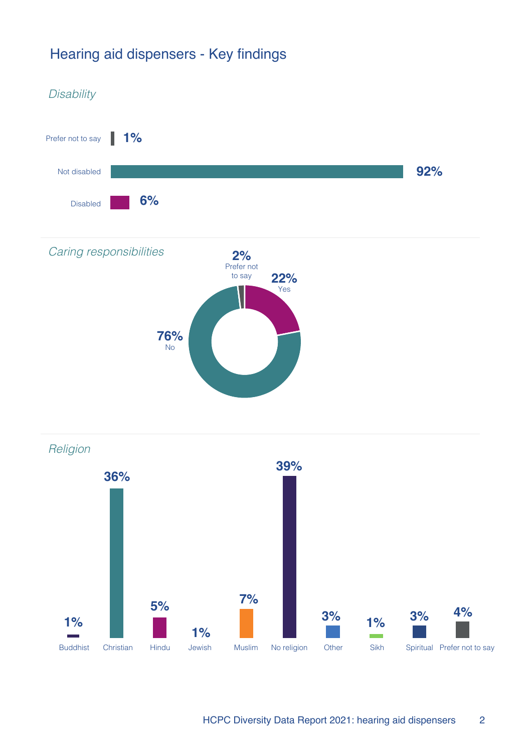# Hearing aid dispensers - Key findings

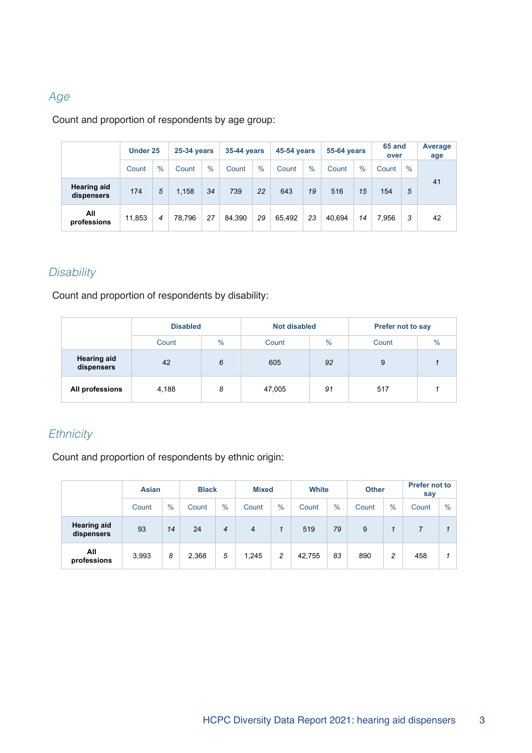#### Age

Count and proportion of respondents by age group:

|                                  | Under 25 |      |        | <b>25-34 years</b> |        | <b>35-44 years</b> |        | 45-54 years   |        | <b>55-64 years</b> |       | 65 and<br>over | Average<br>age |
|----------------------------------|----------|------|--------|--------------------|--------|--------------------|--------|---------------|--------|--------------------|-------|----------------|----------------|
|                                  | Count    | $\%$ | Count  | $\%$               | Count  | $\frac{0}{0}$      | Count  | $\frac{0}{0}$ | Count  | $\%$               | Count | $\frac{0}{0}$  |                |
| <b>Hearing aid</b><br>dispensers | 174      | 5    | 1,158  | 34                 | 739    | 22                 | 643    | 19            | 516    | 15                 | 154   | 5              | 41             |
| All<br>professions               | 11,853   | 4    | 78.796 | 27                 | 84.390 | 29                 | 65.492 | 23            | 40.694 | 14                 | 7.956 | 3              | 42             |

# **Disability**

Count and proportion of respondents by disability:

|                                  | <b>Disabled</b> |      | <b>Not disabled</b> |      | <b>Prefer not to say</b> |               |  |
|----------------------------------|-----------------|------|---------------------|------|--------------------------|---------------|--|
|                                  | Count           | $\%$ |                     | $\%$ | Count                    | $\frac{0}{0}$ |  |
| <b>Hearing aid</b><br>dispensers | 42              | 6    | 605                 | 92   | 9                        |               |  |
| All professions                  | 4,188           | 8    | 47,005              | 91   | 517                      |               |  |

#### **Ethnicity**

Count and proportion of respondents by ethnic origin:

|                                  | <b>Asian</b> |      |       | <b>Black</b> |                |               | <b>Mixed</b> |               | <b>White</b> |      | <b>Other</b> | <b>Prefer not to</b><br>say |  |
|----------------------------------|--------------|------|-------|--------------|----------------|---------------|--------------|---------------|--------------|------|--------------|-----------------------------|--|
|                                  | Count        | $\%$ | Count | $\%$         | Count          | $\frac{0}{0}$ | Count        | $\frac{0}{0}$ | Count        | $\%$ | Count        | $\%$                        |  |
| <b>Hearing aid</b><br>dispensers | 93           | 14   | 24    | 4            | $\overline{4}$ |               | 519          | 79            | 9            |      |              |                             |  |
| All<br>professions               | 3,993        | 8    | 2,368 | 5            | 1.245          | 2             | 42,755       | 83            | 890          | 2    | 458          |                             |  |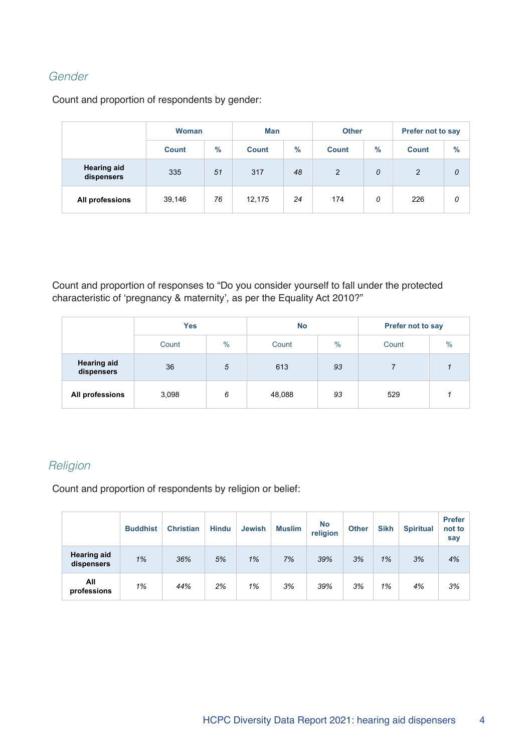#### Gender

Count and proportion of respondents by gender:

|                                  | <b>Woman</b> |               | Man          |      | <b>Other</b> |      | Prefer not to say |      |  |
|----------------------------------|--------------|---------------|--------------|------|--------------|------|-------------------|------|--|
|                                  | <b>Count</b> | $\frac{9}{6}$ | <b>Count</b> | $\%$ | <b>Count</b> | $\%$ | <b>Count</b>      | $\%$ |  |
| <b>Hearing aid</b><br>dispensers | 335          | 51            | 317<br>48    |      | 2            | 0    | 2                 | 0    |  |
| All professions                  | 39,146       | 76            | 12,175       | 24   | 174          | 0    | 226               | 0    |  |

Count and proportion of responses to "Do you consider yourself to fall under the protected characteristic of 'pregnancy & maternity', as per the Equality Act 2010?"

|                                  | <b>Yes</b> |               | <b>No</b> |      | <b>Prefer not to say</b> |      |  |
|----------------------------------|------------|---------------|-----------|------|--------------------------|------|--|
|                                  | Count      | $\frac{0}{0}$ | Count     | $\%$ | Count                    | $\%$ |  |
| <b>Hearing aid</b><br>dispensers | 36         | 5             | 613       | 93   |                          |      |  |
| All professions                  | 3,098      | 6             | 48,088    | 93   | 529                      |      |  |

#### **Religion**

Count and proportion of respondents by religion or belief:

|                                  | <b>Buddhist</b> | <b>Christian</b> | <b>Hindu</b> | <b>Jewish</b> | <b>Muslim</b> | <b>No</b><br>religion | <b>Other</b> | <b>Sikh</b> | <b>Spiritual</b> | <b>Prefer</b><br>not to<br>say |
|----------------------------------|-----------------|------------------|--------------|---------------|---------------|-----------------------|--------------|-------------|------------------|--------------------------------|
| <b>Hearing aid</b><br>dispensers | 1%              | 36%              | 5%           | 1%            | 7%            | 39%                   | 3%           | 1%          | 3%               | 4%                             |
| All<br>professions               | 1%              | 44%              | 2%           | 1%            | 3%            | 39%                   | 3%           | 1%          | 4%               | 3%                             |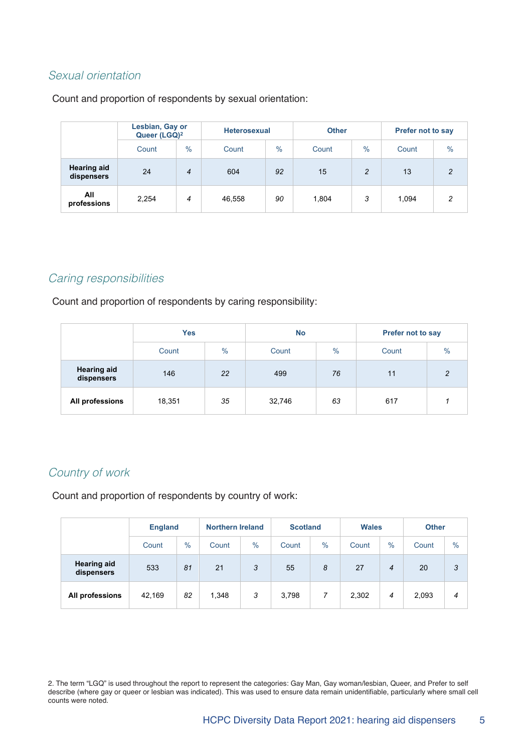#### Sexual orientation

Count and proportion of respondents by sexual orientation:

|                                  | Lesbian, Gay or<br>Queer (LGQ) <sup>2</sup> |                | <b>Heterosexual</b> |               | <b>Other</b> |               | <b>Prefer not to say</b> |                |  |
|----------------------------------|---------------------------------------------|----------------|---------------------|---------------|--------------|---------------|--------------------------|----------------|--|
|                                  | Count                                       | $\%$           | Count               | $\frac{0}{0}$ | Count        | $\%$          | Count                    | $\frac{0}{0}$  |  |
| <b>Hearing aid</b><br>dispensers | 24                                          | $\overline{4}$ | 604                 | 92            | 15           | $\mathcal{P}$ | 13                       | $\mathfrak{p}$ |  |
| All<br>professions               | 2,254                                       | 4              | 46,558              | 90            | 1,804        | 3             | 1,094                    | 2              |  |

#### Caring responsibilities

Count and proportion of respondents by caring responsibility:

|                                  | <b>Yes</b> |      | <b>No</b> |      | <b>Prefer not to say</b> |               |
|----------------------------------|------------|------|-----------|------|--------------------------|---------------|
|                                  | Count      | $\%$ | Count     | $\%$ | Count                    | $\frac{0}{0}$ |
| <b>Hearing aid</b><br>dispensers | 146        | 22   | 499       | 76   | 11                       | っ             |
| All professions                  | 18,351     | 35   | 32,746    | 63   | 617                      |               |

#### Country of work

Count and proportion of respondents by country of work:

|                                  | <b>England</b> |               | <b>Northern Ireland</b> |               | <b>Scotland</b> |               | <b>Wales</b> |      | <b>Other</b> |               |
|----------------------------------|----------------|---------------|-------------------------|---------------|-----------------|---------------|--------------|------|--------------|---------------|
|                                  | Count          | $\frac{0}{0}$ | Count                   | $\frac{0}{0}$ | Count           | $\frac{0}{0}$ | Count        | $\%$ | Count        | $\frac{0}{0}$ |
| <b>Hearing aid</b><br>dispensers | 533            | 81            | 21                      | 3             | 55              | 8             | 27           | 4    | 20           | 3             |
| All professions                  | 42,169         | 82            | 1,348                   | 3             | 3,798           | 7             | 2,302        | 4    | 2,093        | 4             |

2. The term "LGQ" is used throughout the report to represent the categories: Gay Man, Gay woman/lesbian, Queer, and Prefer to self describe (where gay or queer or lesbian was indicated). This was used to ensure data remain unidentifiable, particularly where small cell counts were noted.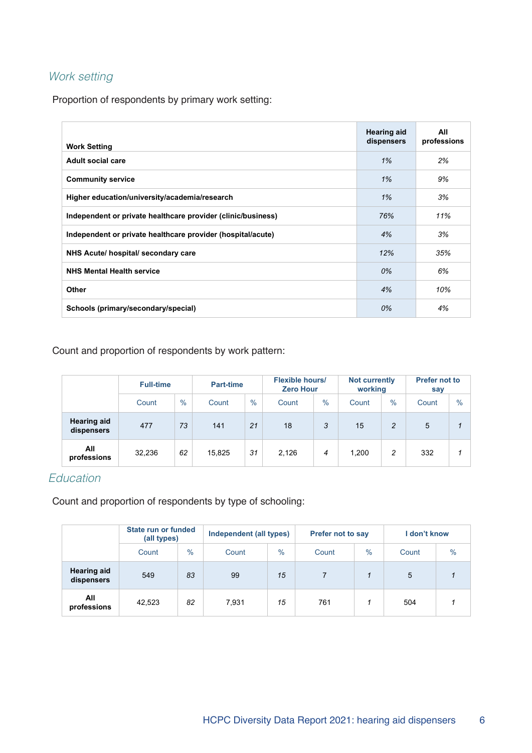# Work setting

Proportion of respondents by primary work setting:

| <b>Work Setting</b>                                          | <b>Hearing aid</b><br>dispensers | All<br>professions |
|--------------------------------------------------------------|----------------------------------|--------------------|
| Adult social care                                            | 1%                               | 2%                 |
| <b>Community service</b>                                     | 1%                               | 9%                 |
| Higher education/university/academia/research                | 1%                               | 3%                 |
| Independent or private healthcare provider (clinic/business) | 76%                              | 11%                |
| Independent or private healthcare provider (hospital/acute)  | 4%                               | 3%                 |
| NHS Acute/ hospital/ secondary care                          | 12%                              | 35%                |
| <b>NHS Mental Health service</b>                             | 0%                               | 6%                 |
| Other                                                        | 4%                               | 10%                |
| Schools (primary/secondary/special)                          | 0%                               | 4%                 |

Count and proportion of respondents by work pattern:

|                                  | <b>Full-time</b> |      | <b>Part-time</b> |      |       | <b>Flexible hours/</b><br><b>Zero Hour</b> |       | <b>Not currently</b><br>working | <b>Prefer not to</b><br>say |      |
|----------------------------------|------------------|------|------------------|------|-------|--------------------------------------------|-------|---------------------------------|-----------------------------|------|
|                                  | Count            | $\%$ | Count            | $\%$ | Count | $\%$                                       | Count | $\frac{0}{0}$                   | Count                       | $\%$ |
| <b>Hearing aid</b><br>dispensers | 477              | 73   | 141              | 21   | 18    | 3                                          | 15    | 2                               | 5                           |      |
| All<br>professions               | 32,236           | 62   | 15,825           | 31   | 2,126 | $\overline{4}$                             | 1,200 | 2                               | 332                         |      |

#### Education

Count and proportion of respondents by type of schooling:

|                                  | <b>State run or funded</b><br>(all types) |               | Independent (all types) |               | <b>Prefer not to say</b> |               | I don't know |               |
|----------------------------------|-------------------------------------------|---------------|-------------------------|---------------|--------------------------|---------------|--------------|---------------|
|                                  | Count                                     | $\frac{0}{0}$ | Count                   | $\frac{0}{0}$ | Count                    | $\frac{0}{0}$ | Count        | $\frac{0}{0}$ |
| <b>Hearing aid</b><br>dispensers | 549                                       | 83            | 99                      | 15            |                          |               | 5            |               |
| All<br>professions               | 42,523                                    | 82            | 7,931                   | 15            | 761                      |               | 504          |               |